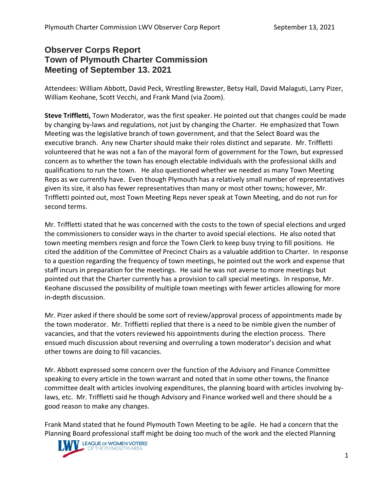## **Observer Corps Report Town of Plymouth Charter Commission Meeting of September 13. 2021**

Attendees: William Abbott, David Peck, Wrestling Brewster, Betsy Hall, David Malaguti, Larry Pizer, William Keohane, Scott Vecchi, and Frank Mand (via Zoom).

**Steve Triffletti,** Town Moderator, was the first speaker. He pointed out that changes could be made by changing by-laws and regulations, not just by changing the Charter. He emphasized that Town Meeting was the legislative branch of town government, and that the Select Board was the executive branch. Any new Charter should make their roles distinct and separate. Mr. Triffletti volunteered that he was not a fan of the mayoral form of government for the Town, but expressed concern as to whether the town has enough electable individuals with the professional skills and qualifications to run the town. He also questioned whether we needed as many Town Meeting Reps as we currently have. Even though Plymouth has a relatively small number of representatives given its size, it also has fewer representatives than many or most other towns; however, Mr. Triffletti pointed out, most Town Meeting Reps never speak at Town Meeting, and do not run for second terms.

Mr. Triffletti stated that he was concerned with the costs to the town of special elections and urged the commissioners to consider ways in the charter to avoid special elections. He also noted that town meeting members resign and force the Town Clerk to keep busy trying to fill positions. He cited the addition of the Committee of Precinct Chairs as a valuable addition to Charter. In response to a question regarding the frequency of town meetings, he pointed out the work and expense that staff incurs in preparation for the meetings. He said he was not averse to more meetings but pointed out that the Charter currently has a provision to call special meetings. In response, Mr. Keohane discussed the possibility of multiple town meetings with fewer articles allowing for more in-depth discussion.

Mr. Pizer asked if there should be some sort of review/approval process of appointments made by the town moderator. Mr. Triffietti replied that there is a need to be nimble given the number of vacancies, and that the voters reviewed his appointments during the election process. There ensued much discussion about reversing and overruling a town moderator's decision and what other towns are doing to fill vacancies.

Mr. Abbott expressed some concern over the function of the Advisory and Finance Committee speaking to every article in the town warrant and noted that in some other towns, the finance committee dealt with articles involving expenditures, the planning board with articles involving bylaws, etc. Mr. Triffletti said he though Advisory and Finance worked well and there should be a good reason to make any changes.

Frank Mand stated that he found Plymouth Town Meeting to be agile. He had a concern that the Planning Board professional staff might be doing too much of the work and the elected Planning

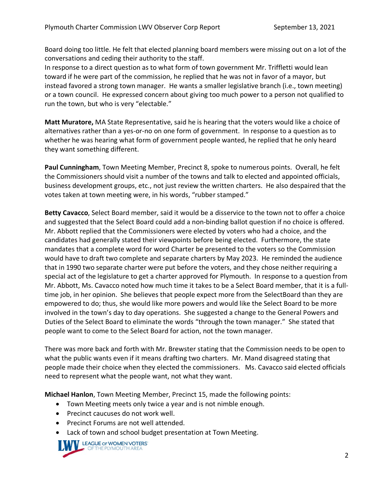Board doing too little. He felt that elected planning board members were missing out on a lot of the conversations and ceding their authority to the staff.

In response to a direct question as to what form of town government Mr. Triffletti would lean toward if he were part of the commission, he replied that he was not in favor of a mayor, but instead favored a strong town manager. He wants a smaller legislative branch (i.e., town meeting) or a town council. He expressed concern about giving too much power to a person not qualified to run the town, but who is very "electable."

**Matt Muratore,** MA State Representative, said he is hearing that the voters would like a choice of alternatives rather than a yes-or-no on one form of government. In response to a question as to whether he was hearing what form of government people wanted, he replied that he only heard they want something different.

**Paul Cunningham**, Town Meeting Member, Precinct 8, spoke to numerous points. Overall, he felt the Commissioners should visit a number of the towns and talk to elected and appointed officials, business development groups, etc., not just review the written charters. He also despaired that the votes taken at town meeting were, in his words, "rubber stamped."

**Betty Cavacco**, Select Board member, said it would be a disservice to the town not to offer a choice and suggested that the Select Board could add a non-binding ballot question if no choice is offered. Mr. Abbott replied that the Commissioners were elected by voters who had a choice, and the candidates had generally stated their viewpoints before being elected. Furthermore, the state mandates that a complete word for word Charter be presented to the voters so the Commission would have to draft two complete and separate charters by May 2023. He reminded the audience that in 1990 two separate charter were put before the voters, and they chose neither requiring a special act of the legislature to get a charter approved for Plymouth. In response to a question from Mr. Abbott, Ms. Cavacco noted how much time it takes to be a Select Board member, that it is a fulltime job, in her opinion. She believes that people expect more from the SelectBoard than they are empowered to do; thus, she would like more powers and would like the Select Board to be more involved in the town's day to day operations. She suggested a change to the General Powers and Duties of the Select Board to eliminate the words "through the town manager." She stated that people want to come to the Select Board for action, not the town manager.

There was more back and forth with Mr. Brewster stating that the Commission needs to be open to what the public wants even if it means drafting two charters. Mr. Mand disagreed stating that people made their choice when they elected the commissioners. Ms. Cavacco said elected officials need to represent what the people want, not what they want.

**Michael Hanlon**, Town Meeting Member, Precinct 15, made the following points:

- Town Meeting meets only twice a year and is not nimble enough.
- Precinct caucuses do not work well.
- Precinct Forums are not well attended.
- Lack of town and school budget presentation at Town Meeting.